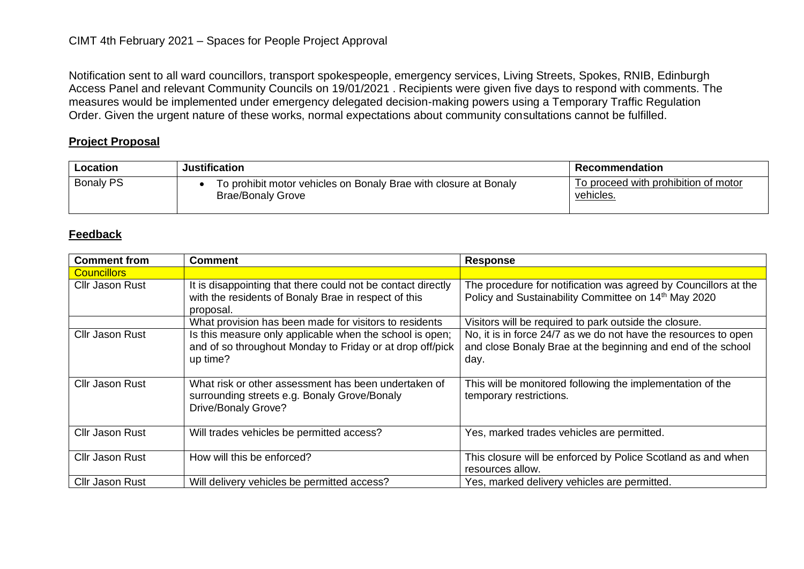Notification sent to all ward councillors, transport spokespeople, emergency services, Living Streets, Spokes, RNIB, Edinburgh Access Panel and relevant Community Councils on 19/01/2021 . Recipients were given five days to respond with comments. The measures would be implemented under emergency delegated decision-making powers using a Temporary Traffic Regulation Order. Given the urgent nature of these works, normal expectations about community consultations cannot be fulfilled.

## **Project Proposal**

| Location         | <b>Justification</b>                                                                         | Recommendation                                    |
|------------------|----------------------------------------------------------------------------------------------|---------------------------------------------------|
| <b>Bonaly PS</b> | To prohibit motor vehicles on Bonaly Brae with closure at Bonaly<br><b>Brae/Bonaly Grove</b> | To proceed with prohibition of motor<br>vehicles. |

## **Feedback**

| <b>Comment from</b>    | <b>Comment</b>                                                                                                                    | <b>Response</b>                                                                                                                         |
|------------------------|-----------------------------------------------------------------------------------------------------------------------------------|-----------------------------------------------------------------------------------------------------------------------------------------|
| <b>Councillors</b>     |                                                                                                                                   |                                                                                                                                         |
| <b>Cllr Jason Rust</b> | It is disappointing that there could not be contact directly                                                                      | The procedure for notification was agreed by Councillors at the                                                                         |
|                        | with the residents of Bonaly Brae in respect of this                                                                              | Policy and Sustainability Committee on 14 <sup>th</sup> May 2020                                                                        |
|                        | proposal.                                                                                                                         |                                                                                                                                         |
|                        | What provision has been made for visitors to residents                                                                            | Visitors will be required to park outside the closure.                                                                                  |
| <b>Cllr Jason Rust</b> | Is this measure only applicable when the school is open;<br>and of so throughout Monday to Friday or at drop off/pick<br>up time? | No, it is in force 24/7 as we do not have the resources to open<br>and close Bonaly Brae at the beginning and end of the school<br>day. |
| Cllr Jason Rust        | What risk or other assessment has been undertaken of<br>surrounding streets e.g. Bonaly Grove/Bonaly<br>Drive/Bonaly Grove?       | This will be monitored following the implementation of the<br>temporary restrictions.                                                   |
| <b>Cllr Jason Rust</b> | Will trades vehicles be permitted access?                                                                                         | Yes, marked trades vehicles are permitted.                                                                                              |
| <b>Cllr Jason Rust</b> | How will this be enforced?                                                                                                        | This closure will be enforced by Police Scotland as and when<br>resources allow.                                                        |
| <b>Cllr Jason Rust</b> | Will delivery vehicles be permitted access?                                                                                       | Yes, marked delivery vehicles are permitted.                                                                                            |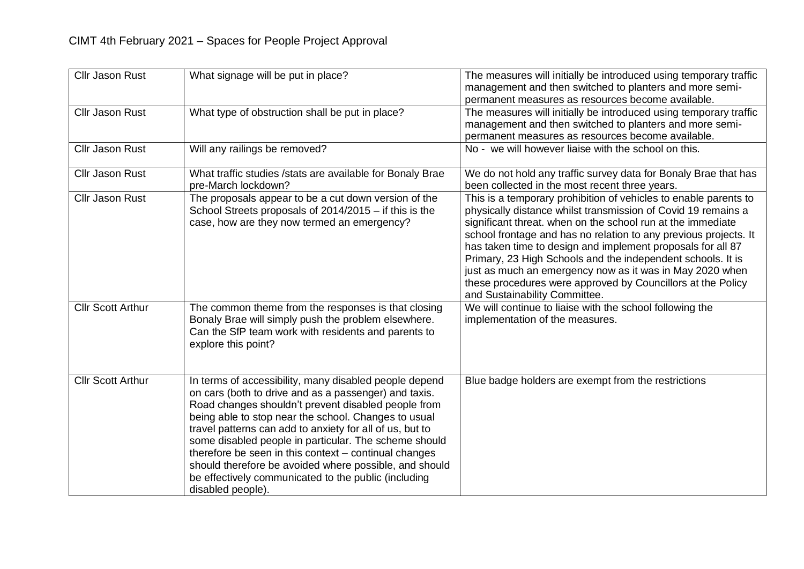| <b>Cllr Jason Rust</b>   | What signage will be put in place?                                                                                                                                                                                                                                                                                                                                                                                                                                                                                                                  | The measures will initially be introduced using temporary traffic<br>management and then switched to planters and more semi-<br>permanent measures as resources become available.                                                                                                                                                                                                                                                                                                                                                                              |
|--------------------------|-----------------------------------------------------------------------------------------------------------------------------------------------------------------------------------------------------------------------------------------------------------------------------------------------------------------------------------------------------------------------------------------------------------------------------------------------------------------------------------------------------------------------------------------------------|----------------------------------------------------------------------------------------------------------------------------------------------------------------------------------------------------------------------------------------------------------------------------------------------------------------------------------------------------------------------------------------------------------------------------------------------------------------------------------------------------------------------------------------------------------------|
| <b>Cllr Jason Rust</b>   | What type of obstruction shall be put in place?                                                                                                                                                                                                                                                                                                                                                                                                                                                                                                     | The measures will initially be introduced using temporary traffic<br>management and then switched to planters and more semi-<br>permanent measures as resources become available.                                                                                                                                                                                                                                                                                                                                                                              |
| Cllr Jason Rust          | Will any railings be removed?                                                                                                                                                                                                                                                                                                                                                                                                                                                                                                                       | No - we will however liaise with the school on this.                                                                                                                                                                                                                                                                                                                                                                                                                                                                                                           |
| <b>Cllr Jason Rust</b>   | What traffic studies / stats are available for Bonaly Brae<br>pre-March lockdown?                                                                                                                                                                                                                                                                                                                                                                                                                                                                   | We do not hold any traffic survey data for Bonaly Brae that has<br>been collected in the most recent three years.                                                                                                                                                                                                                                                                                                                                                                                                                                              |
| <b>Cllr Jason Rust</b>   | The proposals appear to be a cut down version of the<br>School Streets proposals of 2014/2015 - if this is the<br>case, how are they now termed an emergency?                                                                                                                                                                                                                                                                                                                                                                                       | This is a temporary prohibition of vehicles to enable parents to<br>physically distance whilst transmission of Covid 19 remains a<br>significant threat. when on the school run at the immediate<br>school frontage and has no relation to any previous projects. It<br>has taken time to design and implement proposals for all 87<br>Primary, 23 High Schools and the independent schools. It is<br>just as much an emergency now as it was in May 2020 when<br>these procedures were approved by Councillors at the Policy<br>and Sustainability Committee. |
| <b>Cllr Scott Arthur</b> | The common theme from the responses is that closing<br>Bonaly Brae will simply push the problem elsewhere.<br>Can the SfP team work with residents and parents to<br>explore this point?                                                                                                                                                                                                                                                                                                                                                            | We will continue to liaise with the school following the<br>implementation of the measures.                                                                                                                                                                                                                                                                                                                                                                                                                                                                    |
| <b>Cllr Scott Arthur</b> | In terms of accessibility, many disabled people depend<br>on cars (both to drive and as a passenger) and taxis.<br>Road changes shouldn't prevent disabled people from<br>being able to stop near the school. Changes to usual<br>travel patterns can add to anxiety for all of us, but to<br>some disabled people in particular. The scheme should<br>therefore be seen in this context - continual changes<br>should therefore be avoided where possible, and should<br>be effectively communicated to the public (including<br>disabled people). | Blue badge holders are exempt from the restrictions                                                                                                                                                                                                                                                                                                                                                                                                                                                                                                            |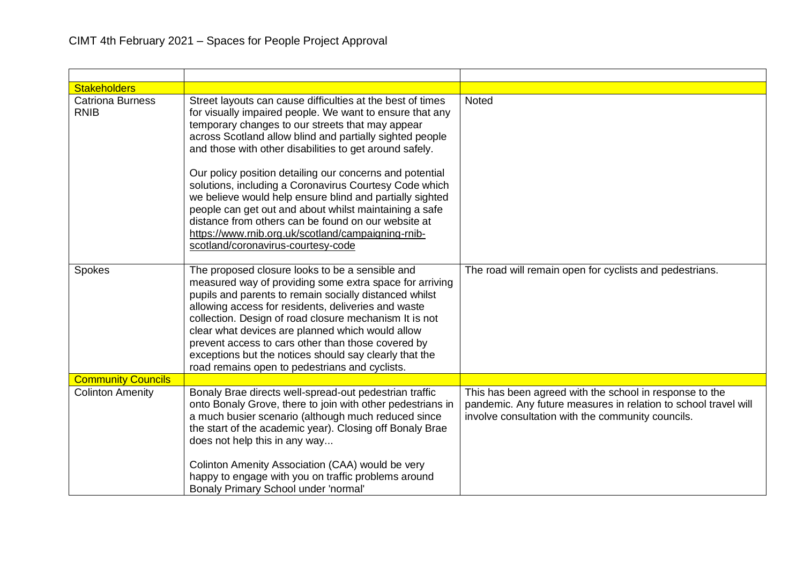| <b>Stakeholders</b>                    |                                                                                                                                                                                                                                                                                                                                                                                                                                                                                                                                                                                                                                                                                                  |                                                                                                                                                                                 |
|----------------------------------------|--------------------------------------------------------------------------------------------------------------------------------------------------------------------------------------------------------------------------------------------------------------------------------------------------------------------------------------------------------------------------------------------------------------------------------------------------------------------------------------------------------------------------------------------------------------------------------------------------------------------------------------------------------------------------------------------------|---------------------------------------------------------------------------------------------------------------------------------------------------------------------------------|
| <b>Catriona Burness</b><br><b>RNIB</b> | Street layouts can cause difficulties at the best of times<br>for visually impaired people. We want to ensure that any<br>temporary changes to our streets that may appear<br>across Scotland allow blind and partially sighted people<br>and those with other disabilities to get around safely.<br>Our policy position detailing our concerns and potential<br>solutions, including a Coronavirus Courtesy Code which<br>we believe would help ensure blind and partially sighted<br>people can get out and about whilst maintaining a safe<br>distance from others can be found on our website at<br>https://www.rnib.org.uk/scotland/campaigning-rnib-<br>scotland/coronavirus-courtesy-code | Noted                                                                                                                                                                           |
| Spokes                                 | The proposed closure looks to be a sensible and<br>measured way of providing some extra space for arriving<br>pupils and parents to remain socially distanced whilst<br>allowing access for residents, deliveries and waste<br>collection. Design of road closure mechanism It is not<br>clear what devices are planned which would allow<br>prevent access to cars other than those covered by<br>exceptions but the notices should say clearly that the<br>road remains open to pedestrians and cyclists.                                                                                                                                                                                      | The road will remain open for cyclists and pedestrians.                                                                                                                         |
| <b>Community Councils</b>              |                                                                                                                                                                                                                                                                                                                                                                                                                                                                                                                                                                                                                                                                                                  |                                                                                                                                                                                 |
| <b>Colinton Amenity</b>                | Bonaly Brae directs well-spread-out pedestrian traffic<br>onto Bonaly Grove, there to join with other pedestrians in<br>a much busier scenario (although much reduced since<br>the start of the academic year). Closing off Bonaly Brae<br>does not help this in any way<br>Colinton Amenity Association (CAA) would be very<br>happy to engage with you on traffic problems around<br>Bonaly Primary School under 'normal'                                                                                                                                                                                                                                                                      | This has been agreed with the school in response to the<br>pandemic. Any future measures in relation to school travel will<br>involve consultation with the community councils. |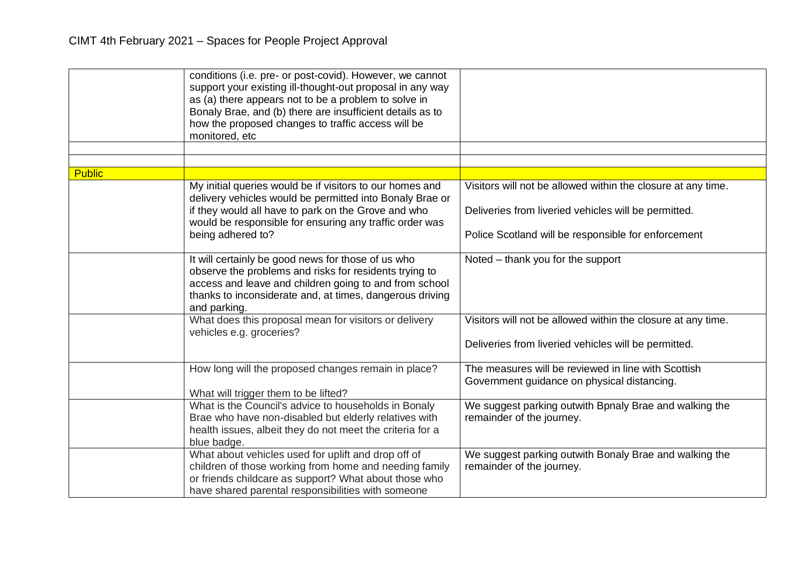|               | conditions (i.e. pre- or post-covid). However, we cannot<br>support your existing ill-thought-out proposal in any way<br>as (a) there appears not to be a problem to solve in<br>Bonaly Brae, and (b) there are insufficient details as to<br>how the proposed changes to traffic access will be<br>monitored, etc |                                                                                                                      |
|---------------|--------------------------------------------------------------------------------------------------------------------------------------------------------------------------------------------------------------------------------------------------------------------------------------------------------------------|----------------------------------------------------------------------------------------------------------------------|
| <b>Public</b> |                                                                                                                                                                                                                                                                                                                    |                                                                                                                      |
|               | My initial queries would be if visitors to our homes and<br>delivery vehicles would be permitted into Bonaly Brae or                                                                                                                                                                                               | Visitors will not be allowed within the closure at any time.                                                         |
|               | if they would all have to park on the Grove and who<br>would be responsible for ensuring any traffic order was                                                                                                                                                                                                     | Deliveries from liveried vehicles will be permitted.                                                                 |
|               | being adhered to?                                                                                                                                                                                                                                                                                                  | Police Scotland will be responsible for enforcement                                                                  |
|               | It will certainly be good news for those of us who<br>observe the problems and risks for residents trying to<br>access and leave and children going to and from school<br>thanks to inconsiderate and, at times, dangerous driving<br>and parking.                                                                 | Noted – thank you for the support                                                                                    |
|               | What does this proposal mean for visitors or delivery<br>vehicles e.g. groceries?                                                                                                                                                                                                                                  | Visitors will not be allowed within the closure at any time.<br>Deliveries from liveried vehicles will be permitted. |
|               |                                                                                                                                                                                                                                                                                                                    |                                                                                                                      |
|               | How long will the proposed changes remain in place?<br>What will trigger them to be lifted?                                                                                                                                                                                                                        | The measures will be reviewed in line with Scottish<br>Government guidance on physical distancing.                   |
|               | What is the Council's advice to households in Bonaly<br>Brae who have non-disabled but elderly relatives with<br>health issues, albeit they do not meet the criteria for a<br>blue badge.                                                                                                                          | We suggest parking outwith Bpnaly Brae and walking the<br>remainder of the journey.                                  |
|               | What about vehicles used for uplift and drop off of<br>children of those working from home and needing family<br>or friends childcare as support? What about those who<br>have shared parental responsibilities with someone                                                                                       | We suggest parking outwith Bonaly Brae and walking the<br>remainder of the journey.                                  |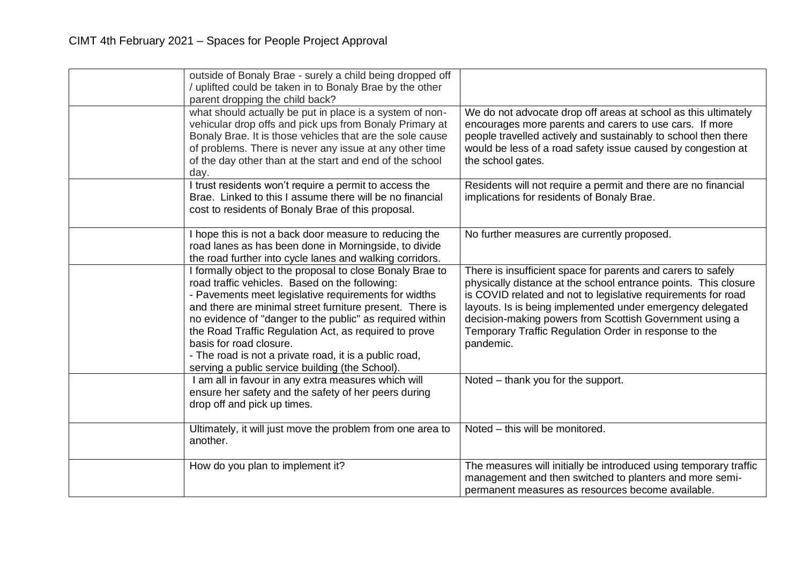| outside of Bonaly Brae - surely a child being dropped off<br>/ uplifted could be taken in to Bonaly Brae by the other<br>parent dropping the child back?                                                                                                                                                                                                                                                                                                                                     |                                                                                                                                                                                                                                                                                                                                                                                                 |
|----------------------------------------------------------------------------------------------------------------------------------------------------------------------------------------------------------------------------------------------------------------------------------------------------------------------------------------------------------------------------------------------------------------------------------------------------------------------------------------------|-------------------------------------------------------------------------------------------------------------------------------------------------------------------------------------------------------------------------------------------------------------------------------------------------------------------------------------------------------------------------------------------------|
| what should actually be put in place is a system of non-<br>vehicular drop offs and pick ups from Bonaly Primary at<br>Bonaly Brae. It is those vehicles that are the sole cause<br>of problems. There is never any issue at any other time<br>of the day other than at the start and end of the school<br>day.                                                                                                                                                                              | We do not advocate drop off areas at school as this ultimately<br>encourages more parents and carers to use cars. If more<br>people travelled actively and sustainably to school then there<br>would be less of a road safety issue caused by congestion at<br>the school gates.                                                                                                                |
| I trust residents won't require a permit to access the<br>Brae. Linked to this I assume there will be no financial<br>cost to residents of Bonaly Brae of this proposal.                                                                                                                                                                                                                                                                                                                     | Residents will not require a permit and there are no financial<br>implications for residents of Bonaly Brae.                                                                                                                                                                                                                                                                                    |
| I hope this is not a back door measure to reducing the<br>road lanes as has been done in Morningside, to divide<br>the road further into cycle lanes and walking corridors.                                                                                                                                                                                                                                                                                                                  | No further measures are currently proposed.                                                                                                                                                                                                                                                                                                                                                     |
| I formally object to the proposal to close Bonaly Brae to<br>road traffic vehicles. Based on the following:<br>- Pavements meet legislative requirements for widths<br>and there are minimal street furniture present. There is<br>no evidence of "danger to the public" as required within<br>the Road Traffic Regulation Act, as required to prove<br>basis for road closure.<br>- The road is not a private road, it is a public road,<br>serving a public service building (the School). | There is insufficient space for parents and carers to safely<br>physically distance at the school entrance points. This closure<br>is COVID related and not to legislative requirements for road<br>layouts. Is is being implemented under emergency delegated<br>decision-making powers from Scottish Government using a<br>Temporary Traffic Regulation Order in response to the<br>pandemic. |
| I am all in favour in any extra measures which will<br>ensure her safety and the safety of her peers during<br>drop off and pick up times.                                                                                                                                                                                                                                                                                                                                                   | Noted - thank you for the support.                                                                                                                                                                                                                                                                                                                                                              |
| Ultimately, it will just move the problem from one area to<br>another.                                                                                                                                                                                                                                                                                                                                                                                                                       | Noted - this will be monitored.                                                                                                                                                                                                                                                                                                                                                                 |
| How do you plan to implement it?                                                                                                                                                                                                                                                                                                                                                                                                                                                             | The measures will initially be introduced using temporary traffic<br>management and then switched to planters and more semi-<br>permanent measures as resources become available.                                                                                                                                                                                                               |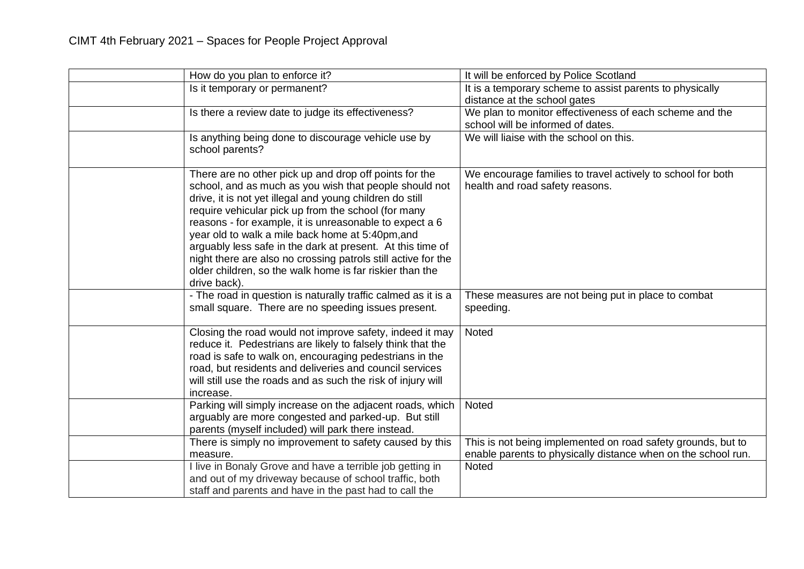| How do you plan to enforce it?                                                                                                                                                                                                                                                                                                                                                                                                                                                                                                                                | It will be enforced by Police Scotland                                                                                        |
|---------------------------------------------------------------------------------------------------------------------------------------------------------------------------------------------------------------------------------------------------------------------------------------------------------------------------------------------------------------------------------------------------------------------------------------------------------------------------------------------------------------------------------------------------------------|-------------------------------------------------------------------------------------------------------------------------------|
| Is it temporary or permanent?                                                                                                                                                                                                                                                                                                                                                                                                                                                                                                                                 | It is a temporary scheme to assist parents to physically<br>distance at the school gates                                      |
| Is there a review date to judge its effectiveness?                                                                                                                                                                                                                                                                                                                                                                                                                                                                                                            | We plan to monitor effectiveness of each scheme and the<br>school will be informed of dates.                                  |
| Is anything being done to discourage vehicle use by<br>school parents?                                                                                                                                                                                                                                                                                                                                                                                                                                                                                        | We will liaise with the school on this.                                                                                       |
| There are no other pick up and drop off points for the<br>school, and as much as you wish that people should not<br>drive, it is not yet illegal and young children do still<br>require vehicular pick up from the school (for many<br>reasons - for example, it is unreasonable to expect a 6<br>year old to walk a mile back home at 5:40pm, and<br>arguably less safe in the dark at present. At this time of<br>night there are also no crossing patrols still active for the<br>older children, so the walk home is far riskier than the<br>drive back). | We encourage families to travel actively to school for both<br>health and road safety reasons.                                |
| - The road in question is naturally traffic calmed as it is a<br>small square. There are no speeding issues present.                                                                                                                                                                                                                                                                                                                                                                                                                                          | These measures are not being put in place to combat<br>speeding.                                                              |
| Closing the road would not improve safety, indeed it may<br>reduce it. Pedestrians are likely to falsely think that the<br>road is safe to walk on, encouraging pedestrians in the<br>road, but residents and deliveries and council services<br>will still use the roads and as such the risk of injury will<br>increase.                                                                                                                                                                                                                                    | Noted                                                                                                                         |
| Parking will simply increase on the adjacent roads, which<br>arguably are more congested and parked-up. But still<br>parents (myself included) will park there instead.                                                                                                                                                                                                                                                                                                                                                                                       | <b>Noted</b>                                                                                                                  |
| There is simply no improvement to safety caused by this<br>measure.                                                                                                                                                                                                                                                                                                                                                                                                                                                                                           | This is not being implemented on road safety grounds, but to<br>enable parents to physically distance when on the school run. |
| I live in Bonaly Grove and have a terrible job getting in<br>and out of my driveway because of school traffic, both<br>staff and parents and have in the past had to call the                                                                                                                                                                                                                                                                                                                                                                                 | Noted                                                                                                                         |